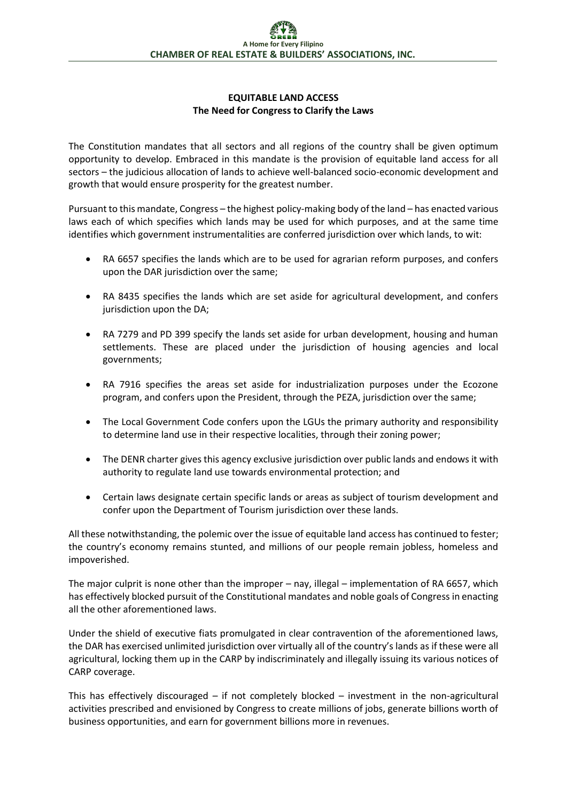## **EQUITABLE LAND ACCESS The Need for Congress to Clarify the Laws**

The Constitution mandates that all sectors and all regions of the country shall be given optimum opportunity to develop. Embraced in this mandate is the provision of equitable land access for all sectors – the judicious allocation of lands to achieve well-balanced socio-economic development and growth that would ensure prosperity for the greatest number.

Pursuant to this mandate, Congress – the highest policy-making body of the land – has enacted various laws each of which specifies which lands may be used for which purposes, and at the same time identifies which government instrumentalities are conferred jurisdiction over which lands, to wit:

- RA 6657 specifies the lands which are to be used for agrarian reform purposes, and confers upon the DAR jurisdiction over the same;
- RA 8435 specifies the lands which are set aside for agricultural development, and confers jurisdiction upon the DA;
- RA 7279 and PD 399 specify the lands set aside for urban development, housing and human settlements. These are placed under the jurisdiction of housing agencies and local governments;
- RA 7916 specifies the areas set aside for industrialization purposes under the Ecozone program, and confers upon the President, through the PEZA, jurisdiction over the same;
- The Local Government Code confers upon the LGUs the primary authority and responsibility to determine land use in their respective localities, through their zoning power;
- The DENR charter gives this agency exclusive jurisdiction over public lands and endows it with authority to regulate land use towards environmental protection; and
- Certain laws designate certain specific lands or areas as subject of tourism development and confer upon the Department of Tourism jurisdiction over these lands.

All these notwithstanding, the polemic over the issue of equitable land access has continued to fester; the country's economy remains stunted, and millions of our people remain jobless, homeless and impoverished.

The major culprit is none other than the improper – nay, illegal – implementation of RA 6657, which has effectively blocked pursuit of the Constitutional mandates and noble goals of Congress in enacting all the other aforementioned laws.

Under the shield of executive fiats promulgated in clear contravention of the aforementioned laws, the DAR has exercised unlimited jurisdiction over virtually all of the country's lands as if these were all agricultural, locking them up in the CARP by indiscriminately and illegally issuing its various notices of CARP coverage.

This has effectively discouraged – if not completely blocked – investment in the non-agricultural activities prescribed and envisioned by Congress to create millions of jobs, generate billions worth of business opportunities, and earn for government billions more in revenues.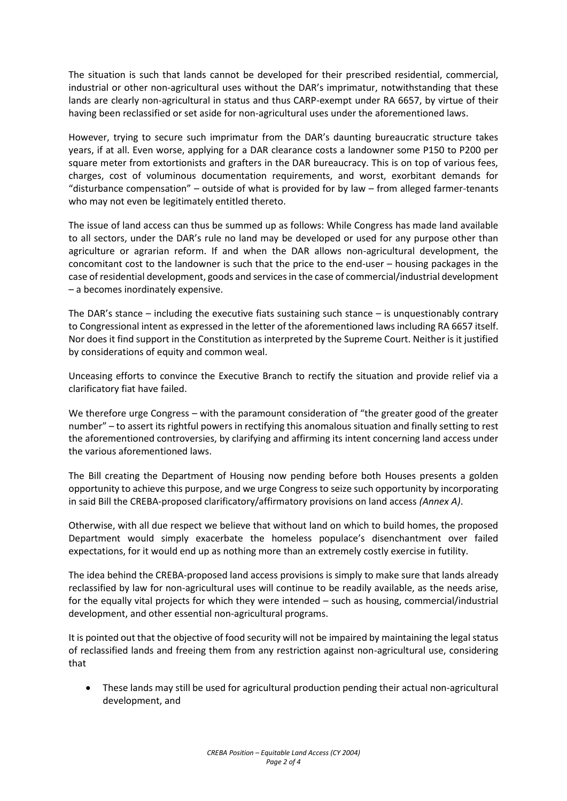The situation is such that lands cannot be developed for their prescribed residential, commercial, industrial or other non-agricultural uses without the DAR's imprimatur, notwithstanding that these lands are clearly non-agricultural in status and thus CARP-exempt under RA 6657, by virtue of their having been reclassified or set aside for non-agricultural uses under the aforementioned laws.

However, trying to secure such imprimatur from the DAR's daunting bureaucratic structure takes years, if at all. Even worse, applying for a DAR clearance costs a landowner some P150 to P200 per square meter from extortionists and grafters in the DAR bureaucracy. This is on top of various fees, charges, cost of voluminous documentation requirements, and worst, exorbitant demands for "disturbance compensation" – outside of what is provided for by law – from alleged farmer-tenants who may not even be legitimately entitled thereto.

The issue of land access can thus be summed up as follows: While Congress has made land available to all sectors, under the DAR's rule no land may be developed or used for any purpose other than agriculture or agrarian reform. If and when the DAR allows non-agricultural development, the concomitant cost to the landowner is such that the price to the end-user – housing packages in the case of residential development, goods and services in the case of commercial/industrial development – a becomes inordinately expensive.

The DAR's stance – including the executive fiats sustaining such stance – is unquestionably contrary to Congressional intent as expressed in the letter of the aforementioned laws including RA 6657 itself. Nor does it find support in the Constitution as interpreted by the Supreme Court. Neither is it justified by considerations of equity and common weal.

Unceasing efforts to convince the Executive Branch to rectify the situation and provide relief via a clarificatory fiat have failed.

We therefore urge Congress – with the paramount consideration of "the greater good of the greater number" – to assert its rightful powers in rectifying this anomalous situation and finally setting to rest the aforementioned controversies, by clarifying and affirming its intent concerning land access under the various aforementioned laws.

The Bill creating the Department of Housing now pending before both Houses presents a golden opportunity to achieve this purpose, and we urge Congress to seize such opportunity by incorporating in said Bill the CREBA-proposed clarificatory/affirmatory provisions on land access *(Annex A)*.

Otherwise, with all due respect we believe that without land on which to build homes, the proposed Department would simply exacerbate the homeless populace's disenchantment over failed expectations, for it would end up as nothing more than an extremely costly exercise in futility.

The idea behind the CREBA-proposed land access provisions is simply to make sure that lands already reclassified by law for non-agricultural uses will continue to be readily available, as the needs arise, for the equally vital projects for which they were intended – such as housing, commercial/industrial development, and other essential non-agricultural programs.

It is pointed out that the objective of food security will not be impaired by maintaining the legal status of reclassified lands and freeing them from any restriction against non-agricultural use, considering that

 These lands may still be used for agricultural production pending their actual non-agricultural development, and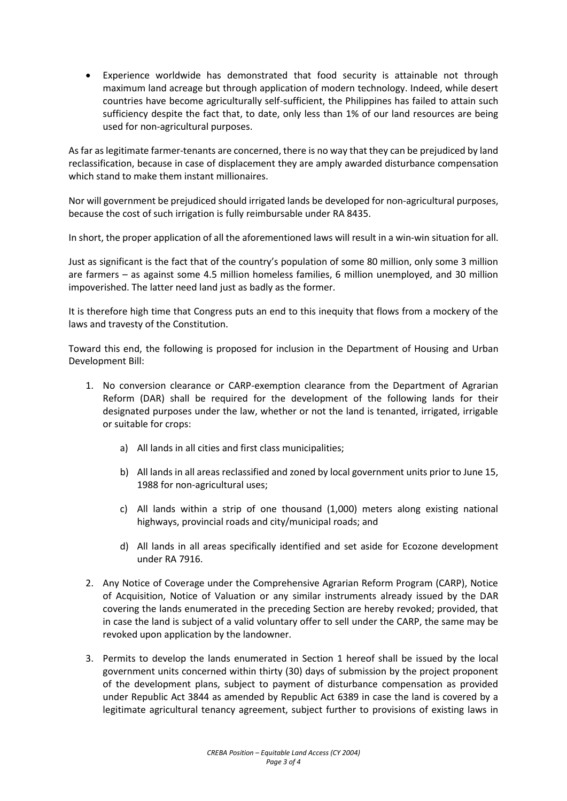Experience worldwide has demonstrated that food security is attainable not through maximum land acreage but through application of modern technology. Indeed, while desert countries have become agriculturally self-sufficient, the Philippines has failed to attain such sufficiency despite the fact that, to date, only less than 1% of our land resources are being used for non-agricultural purposes.

As far as legitimate farmer-tenants are concerned, there is no way that they can be prejudiced by land reclassification, because in case of displacement they are amply awarded disturbance compensation which stand to make them instant millionaires.

Nor will government be prejudiced should irrigated lands be developed for non-agricultural purposes, because the cost of such irrigation is fully reimbursable under RA 8435.

In short, the proper application of all the aforementioned laws will result in a win-win situation for all.

Just as significant is the fact that of the country's population of some 80 million, only some 3 million are farmers – as against some 4.5 million homeless families, 6 million unemployed, and 30 million impoverished. The latter need land just as badly as the former.

It is therefore high time that Congress puts an end to this inequity that flows from a mockery of the laws and travesty of the Constitution.

Toward this end, the following is proposed for inclusion in the Department of Housing and Urban Development Bill:

- 1. No conversion clearance or CARP-exemption clearance from the Department of Agrarian Reform (DAR) shall be required for the development of the following lands for their designated purposes under the law, whether or not the land is tenanted, irrigated, irrigable or suitable for crops:
	- a) All lands in all cities and first class municipalities;
	- b) All lands in all areas reclassified and zoned by local government units prior to June 15, 1988 for non-agricultural uses;
	- c) All lands within a strip of one thousand (1,000) meters along existing national highways, provincial roads and city/municipal roads; and
	- d) All lands in all areas specifically identified and set aside for Ecozone development under RA 7916.
- 2. Any Notice of Coverage under the Comprehensive Agrarian Reform Program (CARP), Notice of Acquisition, Notice of Valuation or any similar instruments already issued by the DAR covering the lands enumerated in the preceding Section are hereby revoked; provided, that in case the land is subject of a valid voluntary offer to sell under the CARP, the same may be revoked upon application by the landowner.
- 3. Permits to develop the lands enumerated in Section 1 hereof shall be issued by the local government units concerned within thirty (30) days of submission by the project proponent of the development plans, subject to payment of disturbance compensation as provided under Republic Act 3844 as amended by Republic Act 6389 in case the land is covered by a legitimate agricultural tenancy agreement, subject further to provisions of existing laws in